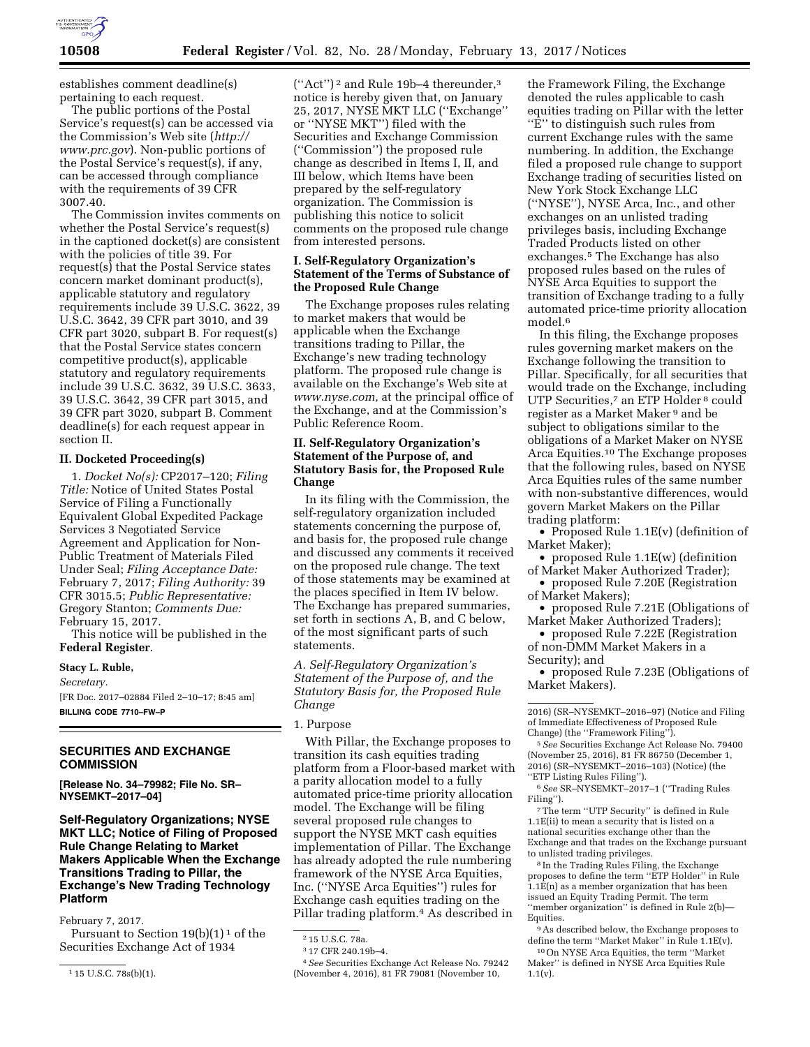

establishes comment deadline(s) pertaining to each request.

The public portions of the Postal Service's request(s) can be accessed via the Commission's Web site (*[http://](http://www.prc.gov) [www.prc.gov](http://www.prc.gov)*). Non-public portions of the Postal Service's request(s), if any, can be accessed through compliance with the requirements of 39 CFR 3007.40.

The Commission invites comments on whether the Postal Service's request(s) in the captioned docket(s) are consistent with the policies of title 39. For request(s) that the Postal Service states concern market dominant product(s), applicable statutory and regulatory requirements include 39 U.S.C. 3622, 39 U.S.C. 3642, 39 CFR part 3010, and 39 CFR part 3020, subpart B. For request(s) that the Postal Service states concern competitive product(s), applicable statutory and regulatory requirements include 39 U.S.C. 3632, 39 U.S.C. 3633, 39 U.S.C. 3642, 39 CFR part 3015, and 39 CFR part 3020, subpart B. Comment deadline(s) for each request appear in section II.

### **II. Docketed Proceeding(s)**

1. *Docket No(s):* CP2017–120; *Filing Title:* Notice of United States Postal Service of Filing a Functionally Equivalent Global Expedited Package Services 3 Negotiated Service Agreement and Application for Non-Public Treatment of Materials Filed Under Seal; *Filing Acceptance Date:*  February 7, 2017; *Filing Authority:* 39 CFR 3015.5; *Public Representative:*  Gregory Stanton; *Comments Due:*  February 15, 2017.

This notice will be published in the **Federal Register**.

# **Stacy L. Ruble,**

*Secretary.* 

[FR Doc. 2017–02884 Filed 2–10–17; 8:45 am] **BILLING CODE 7710–FW–P** 

## **SECURITIES AND EXCHANGE COMMISSION**

**[Release No. 34–79982; File No. SR– NYSEMKT–2017–04]** 

**Self-Regulatory Organizations; NYSE MKT LLC; Notice of Filing of Proposed Rule Change Relating to Market Makers Applicable When the Exchange Transitions Trading to Pillar, the Exchange's New Trading Technology Platform** 

February 7, 2017.

Pursuant to Section  $19(b)(1)^1$  of the Securities Exchange Act of 1934

(''Act'') 2 and Rule 19b–4 thereunder,3 notice is hereby given that, on January 25, 2017, NYSE MKT LLC (''Exchange'' or ''NYSE MKT'') filed with the Securities and Exchange Commission (''Commission'') the proposed rule change as described in Items I, II, and III below, which Items have been prepared by the self-regulatory organization. The Commission is publishing this notice to solicit comments on the proposed rule change from interested persons.

## **I. Self-Regulatory Organization's Statement of the Terms of Substance of the Proposed Rule Change**

The Exchange proposes rules relating to market makers that would be applicable when the Exchange transitions trading to Pillar, the Exchange's new trading technology platform. The proposed rule change is available on the Exchange's Web site at *[www.nyse.com,](http://www.nyse.com)* at the principal office of the Exchange, and at the Commission's Public Reference Room.

## **II. Self-Regulatory Organization's Statement of the Purpose of, and Statutory Basis for, the Proposed Rule Change**

In its filing with the Commission, the self-regulatory organization included statements concerning the purpose of, and basis for, the proposed rule change and discussed any comments it received on the proposed rule change. The text of those statements may be examined at the places specified in Item IV below. The Exchange has prepared summaries, set forth in sections A, B, and C below, of the most significant parts of such statements.

*A. Self-Regulatory Organization's Statement of the Purpose of, and the Statutory Basis for, the Proposed Rule Change* 

## 1. Purpose

With Pillar, the Exchange proposes to transition its cash equities trading platform from a Floor-based market with a parity allocation model to a fully automated price-time priority allocation model. The Exchange will be filing several proposed rule changes to support the NYSE MKT cash equities implementation of Pillar. The Exchange has already adopted the rule numbering framework of the NYSE Arca Equities, Inc. (''NYSE Arca Equities'') rules for Exchange cash equities trading on the Pillar trading platform.<sup>4</sup> As described in

4*See* Securities Exchange Act Release No. 79242 (November 4, 2016), 81 FR 79081 (November 10,

the Framework Filing, the Exchange denoted the rules applicable to cash equities trading on Pillar with the letter ''E'' to distinguish such rules from current Exchange rules with the same numbering. In addition, the Exchange filed a proposed rule change to support Exchange trading of securities listed on New York Stock Exchange LLC (''NYSE''), NYSE Arca, Inc., and other exchanges on an unlisted trading privileges basis, including Exchange Traded Products listed on other exchanges.5 The Exchange has also proposed rules based on the rules of NYSE Arca Equities to support the transition of Exchange trading to a fully automated price-time priority allocation model.<sup>6</sup>

In this filing, the Exchange proposes rules governing market makers on the Exchange following the transition to Pillar. Specifically, for all securities that would trade on the Exchange, including UTP Securities,<sup>7</sup> an ETP Holder<sup>8</sup> could register as a Market Maker 9 and be subject to obligations similar to the obligations of a Market Maker on NYSE Arca Equities.10 The Exchange proposes that the following rules, based on NYSE Arca Equities rules of the same number with non-substantive differences, would govern Market Makers on the Pillar trading platform:

• Proposed Rule 1.1E(v) (definition of Market Maker);

- proposed Rule 1.1E(w) (definition of Market Maker Authorized Trader);
- proposed Rule 7.20E (Registration of Market Makers);
- proposed Rule 7.21E (Obligations of Market Maker Authorized Traders);

• proposed Rule 7.22E (Registration of non-DMM Market Makers in a Security); and

• proposed Rule 7.23E (Obligations of Market Makers).

5*See* Securities Exchange Act Release No. 79400 (November 25, 2016), 81 FR 86750 (December 1, 2016) (SR–NYSEMKT–2016–103) (Notice) (the ''ETP Listing Rules Filing'').

6*See* SR–NYSEMKT–2017–1 (''Trading Rules Filing'').

7The term ''UTP Security'' is defined in Rule 1.1E(ii) to mean a security that is listed on a national securities exchange other than the Exchange and that trades on the Exchange pursuant to unlisted trading privileges.

8 In the Trading Rules Filing, the Exchange proposes to define the term ''ETP Holder'' in Rule  $1.1\overline{E}(n)$  as a member organization that has been issued an Equity Trading Permit. The term 'member organization" is defined in Rule 2(b)-Equities.

10On NYSE Arca Equities, the term ''Market Maker'' is defined in NYSE Arca Equities Rule 1.1(v).

<sup>1</sup> 15 U.S.C. 78s(b)(1).

<sup>2</sup> 15 U.S.C. 78a.

<sup>3</sup> 17 CFR 240.19b–4.

<sup>2016) (</sup>SR–NYSEMKT–2016–97) (Notice and Filing of Immediate Effectiveness of Proposed Rule Change) (the ''Framework Filing'').

<sup>9</sup>As described below, the Exchange proposes to define the term ''Market Maker'' in Rule 1.1E(v).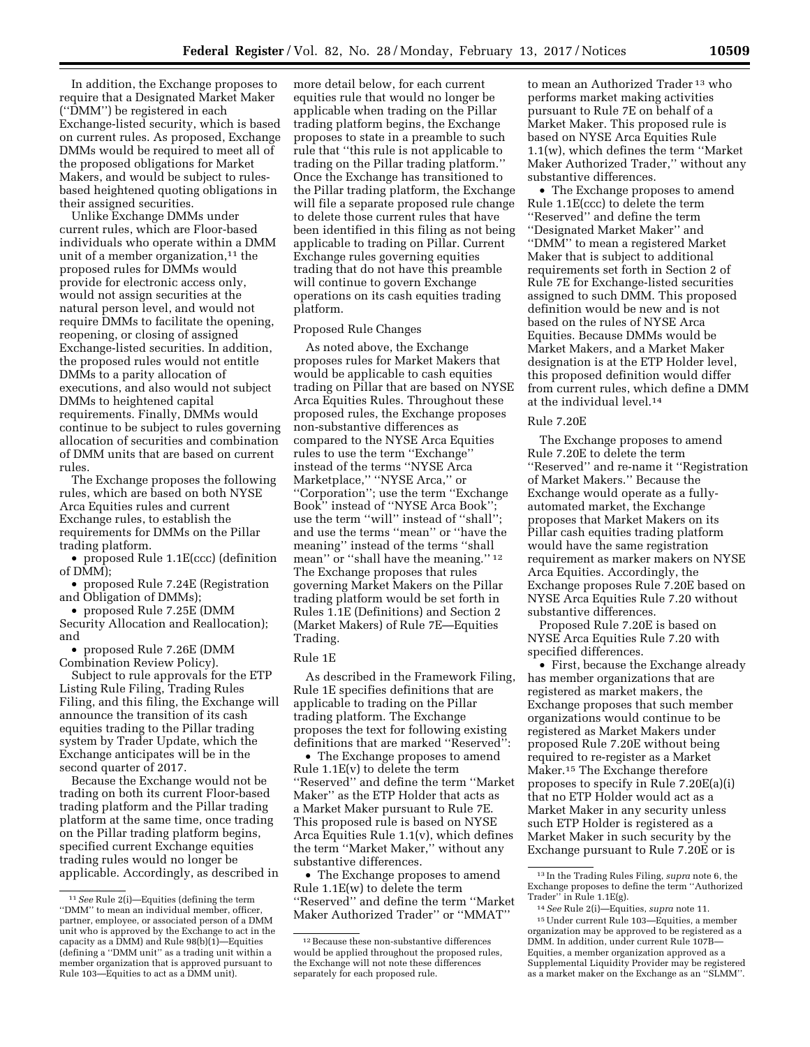In addition, the Exchange proposes to require that a Designated Market Maker (''DMM'') be registered in each Exchange-listed security, which is based on current rules. As proposed, Exchange DMMs would be required to meet all of the proposed obligations for Market Makers, and would be subject to rulesbased heightened quoting obligations in their assigned securities.

Unlike Exchange DMMs under current rules, which are Floor-based individuals who operate within a DMM unit of a member organization, $11$  the proposed rules for DMMs would provide for electronic access only, would not assign securities at the natural person level, and would not require DMMs to facilitate the opening, reopening, or closing of assigned Exchange-listed securities. In addition, the proposed rules would not entitle DMMs to a parity allocation of executions, and also would not subject DMMs to heightened capital requirements. Finally, DMMs would continue to be subject to rules governing allocation of securities and combination of DMM units that are based on current rules.

The Exchange proposes the following rules, which are based on both NYSE Arca Equities rules and current Exchange rules, to establish the requirements for DMMs on the Pillar trading platform.

• proposed Rule 1.1E(ccc) (definition of DMM);

• proposed Rule 7.24E (Registration and Obligation of DMMs);

• proposed Rule 7.25E (DMM Security Allocation and Reallocation); and

• proposed Rule 7.26E (DMM Combination Review Policy).

Subject to rule approvals for the ETP Listing Rule Filing, Trading Rules Filing, and this filing, the Exchange will announce the transition of its cash equities trading to the Pillar trading system by Trader Update, which the Exchange anticipates will be in the second quarter of 2017.

Because the Exchange would not be trading on both its current Floor-based trading platform and the Pillar trading platform at the same time, once trading on the Pillar trading platform begins, specified current Exchange equities trading rules would no longer be applicable. Accordingly, as described in more detail below, for each current equities rule that would no longer be applicable when trading on the Pillar trading platform begins, the Exchange proposes to state in a preamble to such rule that ''this rule is not applicable to trading on the Pillar trading platform.'' Once the Exchange has transitioned to the Pillar trading platform, the Exchange will file a separate proposed rule change to delete those current rules that have been identified in this filing as not being applicable to trading on Pillar. Current Exchange rules governing equities trading that do not have this preamble will continue to govern Exchange operations on its cash equities trading platform.

## Proposed Rule Changes

As noted above, the Exchange proposes rules for Market Makers that would be applicable to cash equities trading on Pillar that are based on NYSE Arca Equities Rules. Throughout these proposed rules, the Exchange proposes non-substantive differences as compared to the NYSE Arca Equities rules to use the term ''Exchange'' instead of the terms ''NYSE Arca Marketplace,'' ''NYSE Arca,'' or ''Corporation''; use the term ''Exchange Book'' instead of ''NYSE Arca Book''; use the term ''will'' instead of ''shall''; and use the terms ''mean'' or ''have the meaning'' instead of the terms ''shall mean" or "shall have the meaning."<sup>12</sup> The Exchange proposes that rules governing Market Makers on the Pillar trading platform would be set forth in Rules 1.1E (Definitions) and Section 2 (Market Makers) of Rule 7E—Equities Trading.

### Rule 1E

As described in the Framework Filing, Rule 1E specifies definitions that are applicable to trading on the Pillar trading platform. The Exchange proposes the text for following existing definitions that are marked ''Reserved'':

• The Exchange proposes to amend Rule 1.1E(v) to delete the term ''Reserved'' and define the term ''Market Maker'' as the ETP Holder that acts as a Market Maker pursuant to Rule 7E. This proposed rule is based on NYSE Arca Equities Rule 1.1(v), which defines the term ''Market Maker,'' without any substantive differences.

• The Exchange proposes to amend Rule 1.1E(w) to delete the term ''Reserved'' and define the term ''Market Maker Authorized Trader'' or ''MMAT''

to mean an Authorized Trader 13 who performs market making activities pursuant to Rule 7E on behalf of a Market Maker. This proposed rule is based on NYSE Arca Equities Rule 1.1(w), which defines the term ''Market Maker Authorized Trader,'' without any substantive differences.

• The Exchange proposes to amend Rule 1.1E(ccc) to delete the term ''Reserved'' and define the term ''Designated Market Maker'' and ''DMM'' to mean a registered Market Maker that is subject to additional requirements set forth in Section 2 of Rule 7E for Exchange-listed securities assigned to such DMM. This proposed definition would be new and is not based on the rules of NYSE Arca Equities. Because DMMs would be Market Makers, and a Market Maker designation is at the ETP Holder level, this proposed definition would differ from current rules, which define a DMM at the individual level.14

### Rule 7.20E

The Exchange proposes to amend Rule 7.20E to delete the term ''Reserved'' and re-name it ''Registration of Market Makers.'' Because the Exchange would operate as a fullyautomated market, the Exchange proposes that Market Makers on its Pillar cash equities trading platform would have the same registration requirement as marker makers on NYSE Arca Equities. Accordingly, the Exchange proposes Rule 7.20E based on NYSE Arca Equities Rule 7.20 without substantive differences.

Proposed Rule 7.20E is based on NYSE Arca Equities Rule 7.20 with specified differences.

• First, because the Exchange already has member organizations that are registered as market makers, the Exchange proposes that such member organizations would continue to be registered as Market Makers under proposed Rule 7.20E without being required to re-register as a Market Maker.15 The Exchange therefore proposes to specify in Rule 7.20E(a)(i) that no ETP Holder would act as a Market Maker in any security unless such ETP Holder is registered as a Market Maker in such security by the Exchange pursuant to Rule 7.20E or is

<sup>11</sup>*See* Rule 2(i)—Equities (defining the term ''DMM'' to mean an individual member, officer, partner, employee, or associated person of a DMM unit who is approved by the Exchange to act in the capacity as a DMM) and Rule 98(b)(1)—Equities (defining a ''DMM unit'' as a trading unit within a member organization that is approved pursuant to Rule 103—Equities to act as a DMM unit).

<sup>12</sup>Because these non-substantive differences would be applied throughout the proposed rules, the Exchange will not note these differences separately for each proposed rule.

<sup>13</sup> In the Trading Rules Filing, *supra* note 6, the Exchange proposes to define the term ''Authorized Trader'' in Rule 1.1E(g).

<sup>14</sup>*See* Rule 2(i)—Equities, *supra* note 11.

<sup>15</sup>Under current Rule 103—Equities, a member organization may be approved to be registered as a DMM. In addition, under current Rule 107B— Equities, a member organization approved as a Supplemental Liquidity Provider may be registered as a market maker on the Exchange as an ''SLMM''.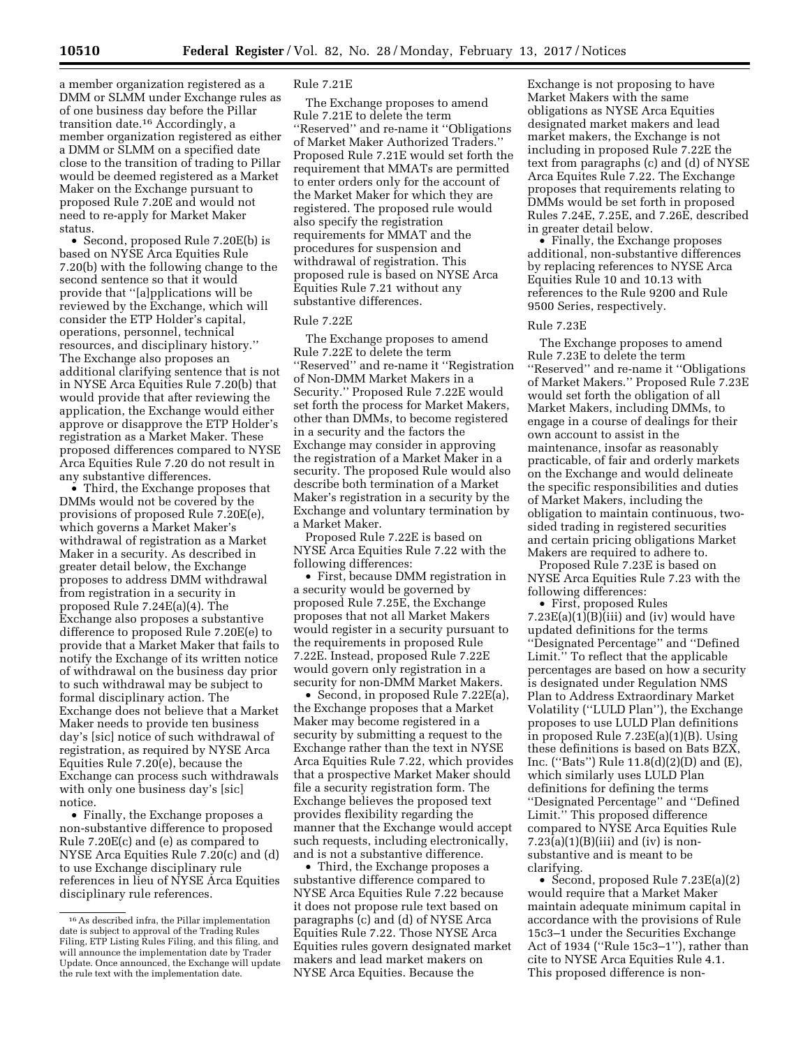a member organization registered as a DMM or SLMM under Exchange rules as of one business day before the Pillar transition date.16 Accordingly, a member organization registered as either a DMM or SLMM on a specified date close to the transition of trading to Pillar would be deemed registered as a Market Maker on the Exchange pursuant to proposed Rule 7.20E and would not need to re-apply for Market Maker status.

• Second, proposed Rule 7.20E(b) is based on NYSE Arca Equities Rule 7.20(b) with the following change to the second sentence so that it would provide that ''[a]pplications will be reviewed by the Exchange, which will consider the ETP Holder's capital, operations, personnel, technical resources, and disciplinary history.'' The Exchange also proposes an additional clarifying sentence that is not in NYSE Arca Equities Rule 7.20(b) that would provide that after reviewing the application, the Exchange would either approve or disapprove the ETP Holder's registration as a Market Maker. These proposed differences compared to NYSE Arca Equities Rule 7.20 do not result in any substantive differences.

• Third, the Exchange proposes that DMMs would not be covered by the provisions of proposed Rule 7.20E(e), which governs a Market Maker's withdrawal of registration as a Market Maker in a security. As described in greater detail below, the Exchange proposes to address DMM withdrawal from registration in a security in proposed Rule 7.24E(a)(4). The Exchange also proposes a substantive difference to proposed Rule 7.20E(e) to provide that a Market Maker that fails to notify the Exchange of its written notice of withdrawal on the business day prior to such withdrawal may be subject to formal disciplinary action. The Exchange does not believe that a Market Maker needs to provide ten business day's [sic] notice of such withdrawal of registration, as required by NYSE Arca Equities Rule 7.20(e), because the Exchange can process such withdrawals with only one business day's [sic] notice.

• Finally, the Exchange proposes a non-substantive difference to proposed Rule 7.20E(c) and (e) as compared to NYSE Arca Equities Rule 7.20(c) and (d) to use Exchange disciplinary rule references in lieu of NYSE Arca Equities disciplinary rule references.

#### Rule 7.21E

The Exchange proposes to amend Rule 7.21E to delete the term ''Reserved'' and re-name it ''Obligations of Market Maker Authorized Traders.'' Proposed Rule 7.21E would set forth the requirement that MMATs are permitted to enter orders only for the account of the Market Maker for which they are registered. The proposed rule would also specify the registration requirements for MMAT and the procedures for suspension and withdrawal of registration. This proposed rule is based on NYSE Arca Equities Rule 7.21 without any substantive differences.

### Rule 7.22E

The Exchange proposes to amend Rule 7.22E to delete the term ''Reserved'' and re-name it ''Registration of Non-DMM Market Makers in a Security.'' Proposed Rule 7.22E would set forth the process for Market Makers, other than DMMs, to become registered in a security and the factors the Exchange may consider in approving the registration of a Market Maker in a security. The proposed Rule would also describe both termination of a Market Maker's registration in a security by the Exchange and voluntary termination by a Market Maker.

Proposed Rule 7.22E is based on NYSE Arca Equities Rule 7.22 with the following differences:

• First, because DMM registration in a security would be governed by proposed Rule 7.25E, the Exchange proposes that not all Market Makers would register in a security pursuant to the requirements in proposed Rule 7.22E. Instead, proposed Rule 7.22E would govern only registration in a security for non-DMM Market Makers.

• Second, in proposed Rule 7.22E(a), the Exchange proposes that a Market Maker may become registered in a security by submitting a request to the Exchange rather than the text in NYSE Arca Equities Rule 7.22, which provides that a prospective Market Maker should file a security registration form. The Exchange believes the proposed text provides flexibility regarding the manner that the Exchange would accept such requests, including electronically, and is not a substantive difference.

• Third, the Exchange proposes a substantive difference compared to NYSE Arca Equities Rule 7.22 because it does not propose rule text based on paragraphs (c) and (d) of NYSE Arca Equities Rule 7.22. Those NYSE Arca Equities rules govern designated market makers and lead market makers on NYSE Arca Equities. Because the

Exchange is not proposing to have Market Makers with the same obligations as NYSE Arca Equities designated market makers and lead market makers, the Exchange is not including in proposed Rule 7.22E the text from paragraphs (c) and (d) of NYSE Arca Equites Rule 7.22. The Exchange proposes that requirements relating to DMMs would be set forth in proposed Rules 7.24E, 7.25E, and 7.26E, described in greater detail below.

• Finally, the Exchange proposes additional, non-substantive differences by replacing references to NYSE Arca Equities Rule 10 and 10.13 with references to the Rule 9200 and Rule 9500 Series, respectively.

## Rule 7.23E

The Exchange proposes to amend Rule 7.23E to delete the term ''Reserved'' and re-name it ''Obligations of Market Makers.'' Proposed Rule 7.23E would set forth the obligation of all Market Makers, including DMMs, to engage in a course of dealings for their own account to assist in the maintenance, insofar as reasonably practicable, of fair and orderly markets on the Exchange and would delineate the specific responsibilities and duties of Market Makers, including the obligation to maintain continuous, twosided trading in registered securities and certain pricing obligations Market Makers are required to adhere to.

Proposed Rule 7.23E is based on NYSE Arca Equities Rule 7.23 with the following differences:

• First, proposed Rules  $7.23E(a)(1)(B)(iii)$  and (iv) would have updated definitions for the terms ''Designated Percentage'' and ''Defined Limit.'' To reflect that the applicable percentages are based on how a security is designated under Regulation NMS Plan to Address Extraordinary Market Volatility (''LULD Plan''), the Exchange proposes to use LULD Plan definitions in proposed Rule 7.23E(a)(1)(B). Using these definitions is based on Bats BZX, Inc. (''Bats'') Rule 11.8(d)(2)(D) and (E), which similarly uses LULD Plan definitions for defining the terms ''Designated Percentage'' and ''Defined Limit.'' This proposed difference compared to NYSE Arca Equities Rule  $7.23(a)(1)(B)(iii)$  and (iv) is nonsubstantive and is meant to be clarifying.

• Second, proposed Rule 7.23E(a)(2) would require that a Market Maker maintain adequate minimum capital in accordance with the provisions of Rule 15c3–1 under the Securities Exchange Act of 1934 (''Rule 15c3–1''), rather than cite to NYSE Arca Equities Rule 4.1. This proposed difference is non-

<sup>16</sup>As described infra, the Pillar implementation date is subject to approval of the Trading Rules Filing, ETP Listing Rules Filing, and this filing, and will announce the implementation date by Trader Update. Once announced, the Exchange will update the rule text with the implementation date.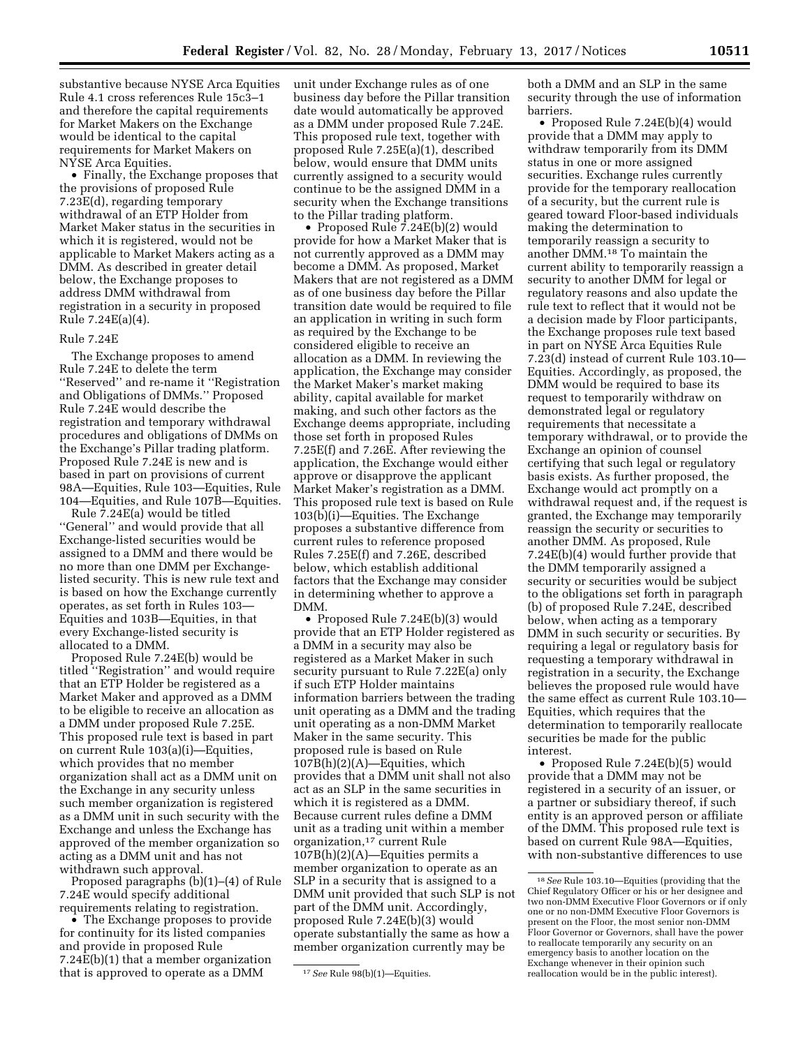substantive because NYSE Arca Equities Rule 4.1 cross references Rule 15c3–1 and therefore the capital requirements for Market Makers on the Exchange would be identical to the capital requirements for Market Makers on NYSE Arca Equities.

• Finally, the Exchange proposes that the provisions of proposed Rule 7.23E(d), regarding temporary withdrawal of an ETP Holder from Market Maker status in the securities in which it is registered, would not be applicable to Market Makers acting as a DMM. As described in greater detail below, the Exchange proposes to address DMM withdrawal from registration in a security in proposed Rule 7.24E(a)(4).

### Rule 7.24E

The Exchange proposes to amend Rule 7.24E to delete the term ''Reserved'' and re-name it ''Registration and Obligations of DMMs.'' Proposed Rule 7.24E would describe the registration and temporary withdrawal procedures and obligations of DMMs on the Exchange's Pillar trading platform. Proposed Rule 7.24E is new and is based in part on provisions of current 98A—Equities, Rule 103—Equities, Rule 104—Equities, and Rule 107B—Equities.

Rule 7.24E(a) would be titled ''General'' and would provide that all Exchange-listed securities would be assigned to a DMM and there would be no more than one DMM per Exchangelisted security. This is new rule text and is based on how the Exchange currently operates, as set forth in Rules 103— Equities and 103B—Equities, in that every Exchange-listed security is allocated to a DMM.

Proposed Rule 7.24E(b) would be titled ''Registration'' and would require that an ETP Holder be registered as a Market Maker and approved as a DMM to be eligible to receive an allocation as a DMM under proposed Rule 7.25E. This proposed rule text is based in part on current Rule 103(a)(i)—Equities, which provides that no member organization shall act as a DMM unit on the Exchange in any security unless such member organization is registered as a DMM unit in such security with the Exchange and unless the Exchange has approved of the member organization so acting as a DMM unit and has not withdrawn such approval.

Proposed paragraphs (b)(1)–(4) of Rule 7.24E would specify additional requirements relating to registration.

• The Exchange proposes to provide for continuity for its listed companies and provide in proposed Rule 7.24E(b)(1) that a member organization that is approved to operate as a DMM

unit under Exchange rules as of one business day before the Pillar transition date would automatically be approved as a DMM under proposed Rule 7.24E. This proposed rule text, together with proposed Rule 7.25E(a)(1), described below, would ensure that DMM units currently assigned to a security would continue to be the assigned DMM in a security when the Exchange transitions to the Pillar trading platform.

• Proposed Rule 7.24E(b)(2) would provide for how a Market Maker that is not currently approved as a DMM may become a DMM. As proposed, Market Makers that are not registered as a DMM as of one business day before the Pillar transition date would be required to file an application in writing in such form as required by the Exchange to be considered eligible to receive an allocation as a DMM. In reviewing the application, the Exchange may consider the Market Maker's market making ability, capital available for market making, and such other factors as the Exchange deems appropriate, including those set forth in proposed Rules 7.25E(f) and 7.26E. After reviewing the application, the Exchange would either approve or disapprove the applicant Market Maker's registration as a DMM. This proposed rule text is based on Rule 103(b)(i)—Equities. The Exchange proposes a substantive difference from current rules to reference proposed Rules 7.25E(f) and 7.26E, described below, which establish additional factors that the Exchange may consider in determining whether to approve a DMM.

• Proposed Rule 7.24E(b)(3) would provide that an ETP Holder registered as a DMM in a security may also be registered as a Market Maker in such security pursuant to Rule 7.22E(a) only if such ETP Holder maintains information barriers between the trading unit operating as a DMM and the trading unit operating as a non-DMM Market Maker in the same security. This proposed rule is based on Rule  $107B(h)(2)(A)$ -Equities, which provides that a DMM unit shall not also act as an SLP in the same securities in which it is registered as a DMM. Because current rules define a DMM unit as a trading unit within a member organization,17 current Rule  $107B(h)(2)(A)$ —Equities permits a member organization to operate as an SLP in a security that is assigned to a DMM unit provided that such SLP is not part of the DMM unit. Accordingly, proposed Rule 7.24E(b)(3) would operate substantially the same as how a member organization currently may be

both a DMM and an SLP in the same security through the use of information barriers.

• Proposed Rule 7.24E(b)(4) would provide that a DMM may apply to withdraw temporarily from its DMM status in one or more assigned securities. Exchange rules currently provide for the temporary reallocation of a security, but the current rule is geared toward Floor-based individuals making the determination to temporarily reassign a security to another DMM.18 To maintain the current ability to temporarily reassign a security to another DMM for legal or regulatory reasons and also update the rule text to reflect that it would not be a decision made by Floor participants, the Exchange proposes rule text based in part on NYSE Arca Equities Rule 7.23(d) instead of current Rule 103.10— Equities. Accordingly, as proposed, the DMM would be required to base its request to temporarily withdraw on demonstrated legal or regulatory requirements that necessitate a temporary withdrawal, or to provide the Exchange an opinion of counsel certifying that such legal or regulatory basis exists. As further proposed, the Exchange would act promptly on a withdrawal request and, if the request is granted, the Exchange may temporarily reassign the security or securities to another DMM. As proposed, Rule 7.24E(b)(4) would further provide that the DMM temporarily assigned a security or securities would be subject to the obligations set forth in paragraph (b) of proposed Rule 7.24E, described below, when acting as a temporary DMM in such security or securities. By requiring a legal or regulatory basis for requesting a temporary withdrawal in registration in a security, the Exchange believes the proposed rule would have the same effect as current Rule 103.10— Equities, which requires that the determination to temporarily reallocate securities be made for the public interest.

• Proposed Rule 7.24E(b)(5) would provide that a DMM may not be registered in a security of an issuer, or a partner or subsidiary thereof, if such entity is an approved person or affiliate of the DMM. This proposed rule text is based on current Rule 98A—Equities, with non-substantive differences to use

<sup>17</sup>*See* Rule 98(b)(1)—Equities.

<sup>18</sup>*See* Rule 103.10—Equities (providing that the Chief Regulatory Officer or his or her designee and two non-DMM Executive Floor Governors or if only one or no non-DMM Executive Floor Governors is present on the Floor, the most senior non-DMM Floor Governor or Governors, shall have the power to reallocate temporarily any security on an emergency basis to another location on the Exchange whenever in their opinion such reallocation would be in the public interest).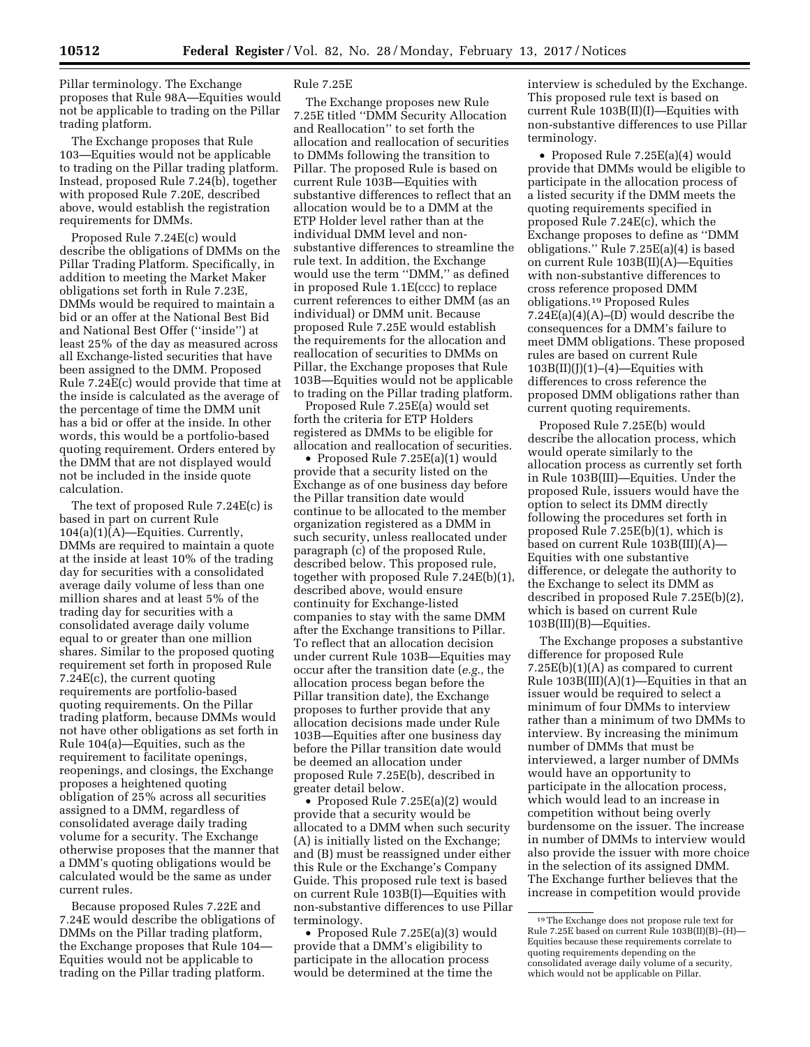Pillar terminology. The Exchange proposes that Rule 98A—Equities would not be applicable to trading on the Pillar trading platform.

The Exchange proposes that Rule 103—Equities would not be applicable to trading on the Pillar trading platform. Instead, proposed Rule 7.24(b), together with proposed Rule 7.20E, described above, would establish the registration requirements for DMMs.

Proposed Rule 7.24E(c) would describe the obligations of DMMs on the Pillar Trading Platform. Specifically, in addition to meeting the Market Maker obligations set forth in Rule 7.23E, DMMs would be required to maintain a bid or an offer at the National Best Bid and National Best Offer (''inside'') at least 25% of the day as measured across all Exchange-listed securities that have been assigned to the DMM. Proposed Rule 7.24E(c) would provide that time at the inside is calculated as the average of the percentage of time the DMM unit has a bid or offer at the inside. In other words, this would be a portfolio-based quoting requirement. Orders entered by the DMM that are not displayed would not be included in the inside quote calculation.

The text of proposed Rule 7.24E(c) is based in part on current Rule 104(a)(1)(A)—Equities. Currently, DMMs are required to maintain a quote at the inside at least 10% of the trading day for securities with a consolidated average daily volume of less than one million shares and at least 5% of the trading day for securities with a consolidated average daily volume equal to or greater than one million shares. Similar to the proposed quoting requirement set forth in proposed Rule 7.24E(c), the current quoting requirements are portfolio-based quoting requirements. On the Pillar trading platform, because DMMs would not have other obligations as set forth in Rule 104(a)—Equities, such as the requirement to facilitate openings, reopenings, and closings, the Exchange proposes a heightened quoting obligation of 25% across all securities assigned to a DMM, regardless of consolidated average daily trading volume for a security. The Exchange otherwise proposes that the manner that a DMM's quoting obligations would be calculated would be the same as under current rules.

Because proposed Rules 7.22E and 7.24E would describe the obligations of DMMs on the Pillar trading platform, the Exchange proposes that Rule 104— Equities would not be applicable to trading on the Pillar trading platform.

#### Rule 7.25E

The Exchange proposes new Rule 7.25E titled ''DMM Security Allocation and Reallocation'' to set forth the allocation and reallocation of securities to DMMs following the transition to Pillar. The proposed Rule is based on current Rule 103B—Equities with substantive differences to reflect that an allocation would be to a DMM at the ETP Holder level rather than at the individual DMM level and nonsubstantive differences to streamline the rule text. In addition, the Exchange would use the term ''DMM,'' as defined in proposed Rule 1.1E(ccc) to replace current references to either DMM (as an individual) or DMM unit. Because proposed Rule 7.25E would establish the requirements for the allocation and reallocation of securities to DMMs on Pillar, the Exchange proposes that Rule 103B—Equities would not be applicable to trading on the Pillar trading platform.

Proposed Rule 7.25E(a) would set forth the criteria for ETP Holders registered as DMMs to be eligible for allocation and reallocation of securities.

• Proposed Rule 7.25E(a)(1) would provide that a security listed on the Exchange as of one business day before the Pillar transition date would continue to be allocated to the member organization registered as a DMM in such security, unless reallocated under paragraph (c) of the proposed Rule, described below. This proposed rule, together with proposed Rule 7.24E(b)(1), described above, would ensure continuity for Exchange-listed companies to stay with the same DMM after the Exchange transitions to Pillar. To reflect that an allocation decision under current Rule 103B—Equities may occur after the transition date (*e.g.,* the allocation process began before the Pillar transition date), the Exchange proposes to further provide that any allocation decisions made under Rule 103B—Equities after one business day before the Pillar transition date would be deemed an allocation under proposed Rule 7.25E(b), described in greater detail below.

• Proposed Rule 7.25E(a)(2) would provide that a security would be allocated to a DMM when such security (A) is initially listed on the Exchange; and (B) must be reassigned under either this Rule or the Exchange's Company Guide. This proposed rule text is based on current Rule 103B(I)—Equities with non-substantive differences to use Pillar terminology.

• Proposed Rule 7.25E(a)(3) would provide that a DMM's eligibility to participate in the allocation process would be determined at the time the

interview is scheduled by the Exchange. This proposed rule text is based on current Rule 103B(II)(I)—Equities with non-substantive differences to use Pillar terminology.

• Proposed Rule 7.25E(a)(4) would provide that DMMs would be eligible to participate in the allocation process of a listed security if the DMM meets the quoting requirements specified in proposed Rule 7.24E(c), which the Exchange proposes to define as ''DMM obligations.'' Rule 7.25E(a)(4) is based on current Rule 103B(II)(A)—Equities with non-substantive differences to cross reference proposed DMM obligations.19 Proposed Rules 7.24 $E(a)(4)(A)$ –(D) would describe the consequences for a DMM's failure to meet DMM obligations. These proposed rules are based on current Rule  $103B(II)(J)(1)–(4)$ —Equities with differences to cross reference the proposed DMM obligations rather than current quoting requirements.

Proposed Rule 7.25E(b) would describe the allocation process, which would operate similarly to the allocation process as currently set forth in Rule 103B(III)—Equities. Under the proposed Rule, issuers would have the option to select its DMM directly following the procedures set forth in proposed Rule 7.25E(b)(1), which is based on current Rule 103B(III)(A)— Equities with one substantive difference, or delegate the authority to the Exchange to select its DMM as described in proposed Rule 7.25E(b)(2), which is based on current Rule 103B(III)(B)—Equities.

The Exchange proposes a substantive difference for proposed Rule 7.25E(b)(1)(A) as compared to current Rule  $103B(III)(A)(1)$ —Equities in that an issuer would be required to select a minimum of four DMMs to interview rather than a minimum of two DMMs to interview. By increasing the minimum number of DMMs that must be interviewed, a larger number of DMMs would have an opportunity to participate in the allocation process, which would lead to an increase in competition without being overly burdensome on the issuer. The increase in number of DMMs to interview would also provide the issuer with more choice in the selection of its assigned DMM. The Exchange further believes that the increase in competition would provide

<sup>19</sup>The Exchange does not propose rule text for Rule 7.25E based on current Rule 103B(II)(B)–(H)— Equities because these requirements correlate to quoting requirements depending on the consolidated average daily volume of a security, which would not be applicable on Pillar.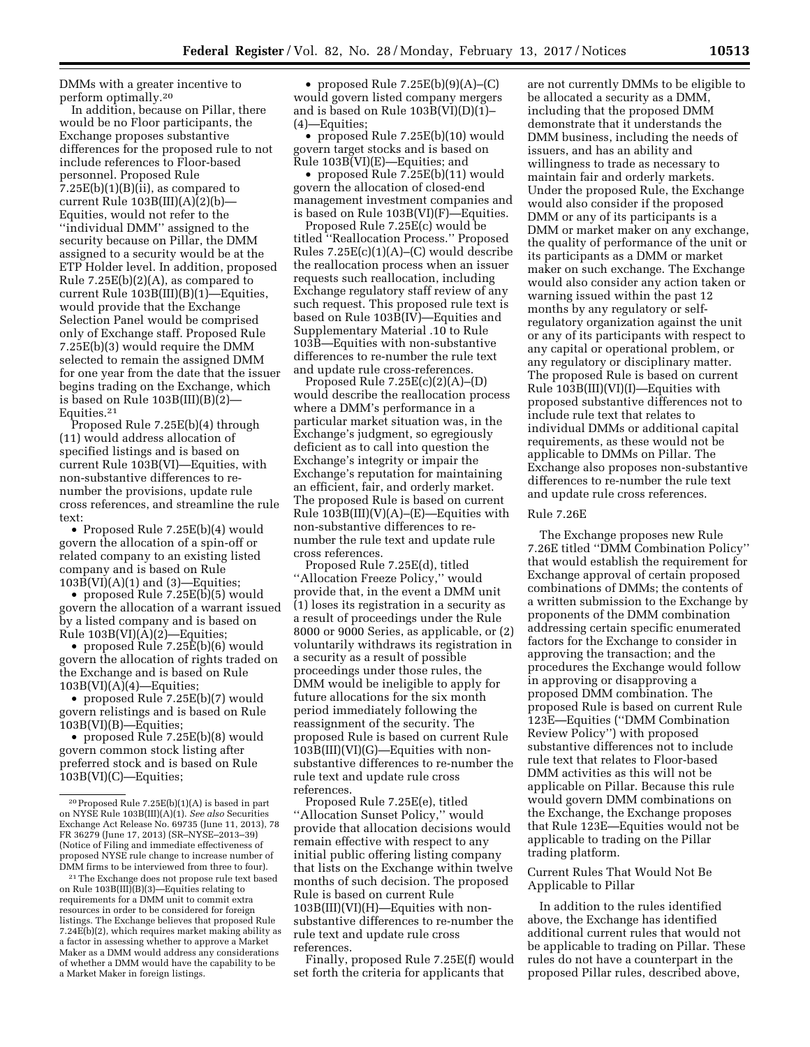DMMs with a greater incentive to perform optimally.20

In addition, because on Pillar, there would be no Floor participants, the Exchange proposes substantive differences for the proposed rule to not include references to Floor-based personnel. Proposed Rule  $7.25E(b)(1)(B)(ii)$ , as compared to current Rule 103B(III)(A)(2)(b)— Equities, would not refer to the ''individual DMM'' assigned to the security because on Pillar, the DMM assigned to a security would be at the ETP Holder level. In addition, proposed Rule 7.25E(b)(2)(A), as compared to current Rule 103B(III)(B)(1)—Equities, would provide that the Exchange Selection Panel would be comprised only of Exchange staff. Proposed Rule 7.25E(b)(3) would require the DMM selected to remain the assigned DMM for one year from the date that the issuer begins trading on the Exchange, which is based on Rule 103B(III)(B)(2)— Equities.21

Proposed Rule 7.25E(b)(4) through (11) would address allocation of specified listings and is based on current Rule 103B(VI)—Equities, with non-substantive differences to renumber the provisions, update rule cross references, and streamline the rule text:

• Proposed Rule 7.25E(b)(4) would govern the allocation of a spin-off or related company to an existing listed company and is based on Rule  $103B(VI)(A)(1)$  and  $(3)$ —Equities;

• proposed Rule 7.25E(b)(5) would govern the allocation of a warrant issued by a listed company and is based on Rule 103B(VI)(A)(2)—Equities;

• proposed Rule 7.25E(b)(6) would govern the allocation of rights traded on the Exchange and is based on Rule  $103B(VI)(A)(4)$ —Equities;

• proposed Rule 7.25E(b)(7) would govern relistings and is based on Rule 103B(VI)(B)—Equities;

• proposed Rule 7.25E(b)(8) would govern common stock listing after preferred stock and is based on Rule 103B(VI)(C)—Equities;

• proposed Rule  $7.25E(b)(9)(A)–(C)$ would govern listed company mergers and is based on Rule 103B(VI)(D)(1)– (4)—Equities;

• proposed Rule 7.25E(b)(10) would govern target stocks and is based on Rule 103B(VI)(E)—Equities; and

• proposed Rule 7.25E(b)(11) would govern the allocation of closed-end management investment companies and is based on Rule 103B(VI)(F)—Equities.

Proposed Rule 7.25E(c) would be titled ''Reallocation Process.'' Proposed Rules  $7.25E(c)(1)(A)$ – $(C)$  would describe the reallocation process when an issuer requests such reallocation, including Exchange regulatory staff review of any such request. This proposed rule text is based on Rule 103B(IV)—Equities and Supplementary Material .10 to Rule 103B—Equities with non-substantive differences to re-number the rule text and update rule cross-references.

Proposed Rule 7.25E(c)(2)(A)–(D) would describe the reallocation process where a DMM's performance in a particular market situation was, in the Exchange's judgment, so egregiously deficient as to call into question the Exchange's integrity or impair the Exchange's reputation for maintaining an efficient, fair, and orderly market. The proposed Rule is based on current Rule  $103B(III)(V)(A)$ – $(E)$ –Equities with non-substantive differences to renumber the rule text and update rule cross references.

Proposed Rule 7.25E(d), titled ''Allocation Freeze Policy,'' would provide that, in the event a DMM unit (1) loses its registration in a security as a result of proceedings under the Rule 8000 or 9000 Series, as applicable, or (2) voluntarily withdraws its registration in a security as a result of possible proceedings under those rules, the DMM would be ineligible to apply for future allocations for the six month period immediately following the reassignment of the security. The proposed Rule is based on current Rule 103B(III)(VI)(G)—Equities with nonsubstantive differences to re-number the rule text and update rule cross references.

Proposed Rule 7.25E(e), titled ''Allocation Sunset Policy,'' would provide that allocation decisions would remain effective with respect to any initial public offering listing company that lists on the Exchange within twelve months of such decision. The proposed Rule is based on current Rule 103B(III)(VI)(H)—Equities with nonsubstantive differences to re-number the rule text and update rule cross references.

Finally, proposed Rule 7.25E(f) would set forth the criteria for applicants that

are not currently DMMs to be eligible to be allocated a security as a DMM, including that the proposed DMM demonstrate that it understands the DMM business, including the needs of issuers, and has an ability and willingness to trade as necessary to maintain fair and orderly markets. Under the proposed Rule, the Exchange would also consider if the proposed DMM or any of its participants is a DMM or market maker on any exchange, the quality of performance of the unit or its participants as a DMM or market maker on such exchange. The Exchange would also consider any action taken or warning issued within the past 12 months by any regulatory or selfregulatory organization against the unit or any of its participants with respect to any capital or operational problem, or any regulatory or disciplinary matter. The proposed Rule is based on current Rule 103B(III)(VI)(I)—Equities with proposed substantive differences not to include rule text that relates to individual DMMs or additional capital requirements, as these would not be applicable to DMMs on Pillar. The Exchange also proposes non-substantive differences to re-number the rule text and update rule cross references.

## Rule 7.26E

The Exchange proposes new Rule 7.26E titled ''DMM Combination Policy'' that would establish the requirement for Exchange approval of certain proposed combinations of DMMs; the contents of a written submission to the Exchange by proponents of the DMM combination addressing certain specific enumerated factors for the Exchange to consider in approving the transaction; and the procedures the Exchange would follow in approving or disapproving a proposed DMM combination. The proposed Rule is based on current Rule 123E—Equities (''DMM Combination Review Policy'') with proposed substantive differences not to include rule text that relates to Floor-based DMM activities as this will not be applicable on Pillar. Because this rule would govern DMM combinations on the Exchange, the Exchange proposes that Rule 123E—Equities would not be applicable to trading on the Pillar trading platform.

Current Rules That Would Not Be Applicable to Pillar

In addition to the rules identified above, the Exchange has identified additional current rules that would not be applicable to trading on Pillar. These rules do not have a counterpart in the proposed Pillar rules, described above,

 $20$  Proposed Rule 7.25 $E(b)(1)(A)$  is based in part on NYSE Rule 103B(III)(A)(1). *See also* Securities Exchange Act Release No. 69735 (June 11, 2013), 78 FR 36279 (June 17, 2013) (SR–NYSE–2013–39) (Notice of Filing and immediate effectiveness of proposed NYSE rule change to increase number of DMM firms to be interviewed from three to four).

<sup>21</sup>The Exchange does not propose rule text based on Rule 103B(III)(B)(3)—Equities relating to requirements for a DMM unit to commit extra resources in order to be considered for foreign listings. The Exchange believes that proposed Rule 7.24E(b)(2), which requires market making ability as a factor in assessing whether to approve a Market Maker as a DMM would address any considerations of whether a DMM would have the capability to be a Market Maker in foreign listings.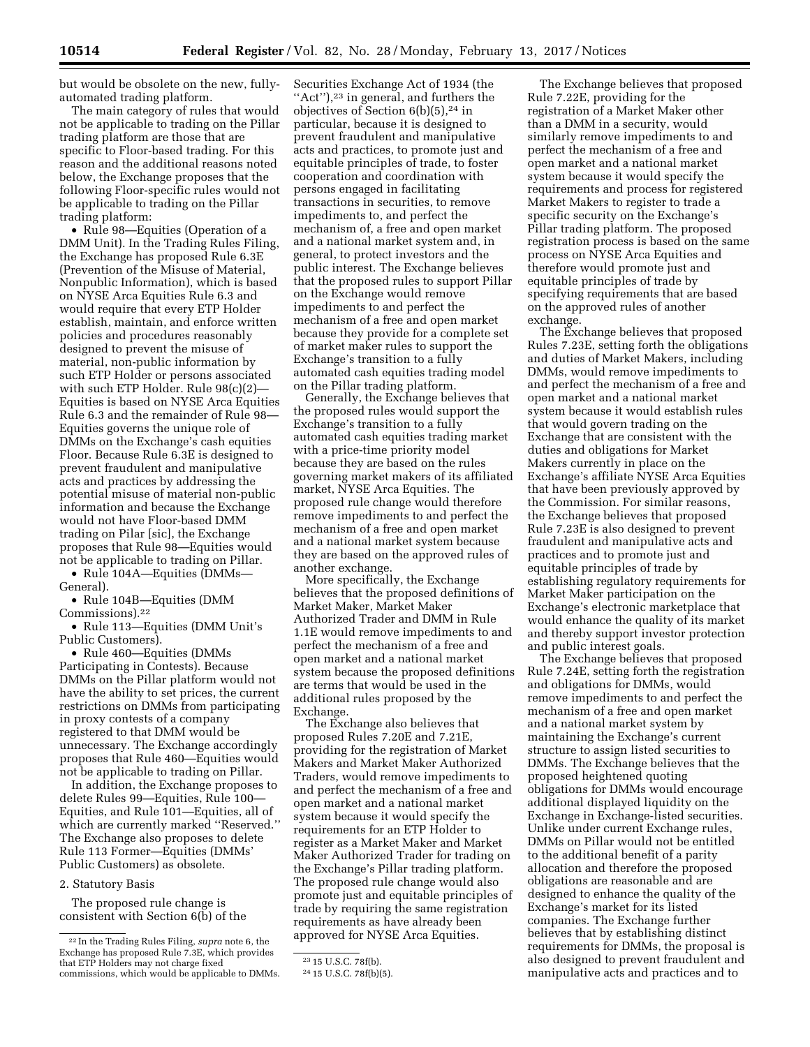but would be obsolete on the new, fullyautomated trading platform.

The main category of rules that would not be applicable to trading on the Pillar trading platform are those that are specific to Floor-based trading. For this reason and the additional reasons noted below, the Exchange proposes that the following Floor-specific rules would not be applicable to trading on the Pillar trading platform:

• Rule 98—Equities (Operation of a DMM Unit). In the Trading Rules Filing, the Exchange has proposed Rule 6.3E (Prevention of the Misuse of Material, Nonpublic Information), which is based on NYSE Arca Equities Rule 6.3 and would require that every ETP Holder establish, maintain, and enforce written policies and procedures reasonably designed to prevent the misuse of material, non-public information by such ETP Holder or persons associated with such ETP Holder. Rule 98(c)(2)— Equities is based on NYSE Arca Equities Rule 6.3 and the remainder of Rule 98— Equities governs the unique role of DMMs on the Exchange's cash equities Floor. Because Rule 6.3E is designed to prevent fraudulent and manipulative acts and practices by addressing the potential misuse of material non-public information and because the Exchange would not have Floor-based DMM trading on Pilar [sic], the Exchange proposes that Rule 98—Equities would not be applicable to trading on Pillar.

• Rule 104A—Equities (DMMs— General).

• Rule 104B—Equities (DMM Commissions).22

• Rule 113—Equities (DMM Unit's Public Customers).

• Rule 460—Equities (DMMs Participating in Contests). Because DMMs on the Pillar platform would not have the ability to set prices, the current restrictions on DMMs from participating in proxy contests of a company registered to that DMM would be unnecessary. The Exchange accordingly proposes that Rule 460—Equities would not be applicable to trading on Pillar.

In addition, the Exchange proposes to delete Rules 99—Equities, Rule 100— Equities, and Rule 101—Equities, all of which are currently marked ''Reserved.'' The Exchange also proposes to delete Rule 113 Former—Equities (DMMs' Public Customers) as obsolete.

## 2. Statutory Basis

The proposed rule change is consistent with Section 6(b) of the

Securities Exchange Act of 1934 (the ''Act''),23 in general, and furthers the objectives of Section  $6(b)(5)$ , <sup>24</sup> in particular, because it is designed to prevent fraudulent and manipulative acts and practices, to promote just and equitable principles of trade, to foster cooperation and coordination with persons engaged in facilitating transactions in securities, to remove impediments to, and perfect the mechanism of, a free and open market and a national market system and, in general, to protect investors and the public interest. The Exchange believes that the proposed rules to support Pillar on the Exchange would remove impediments to and perfect the mechanism of a free and open market because they provide for a complete set of market maker rules to support the Exchange's transition to a fully automated cash equities trading model on the Pillar trading platform.

Generally, the Exchange believes that the proposed rules would support the Exchange's transition to a fully automated cash equities trading market with a price-time priority model because they are based on the rules governing market makers of its affiliated market, NYSE Arca Equities. The proposed rule change would therefore remove impediments to and perfect the mechanism of a free and open market and a national market system because they are based on the approved rules of another exchange.

More specifically, the Exchange believes that the proposed definitions of Market Maker, Market Maker Authorized Trader and DMM in Rule 1.1E would remove impediments to and perfect the mechanism of a free and open market and a national market system because the proposed definitions are terms that would be used in the additional rules proposed by the Exchange.

The Exchange also believes that proposed Rules 7.20E and 7.21E, providing for the registration of Market Makers and Market Maker Authorized Traders, would remove impediments to and perfect the mechanism of a free and open market and a national market system because it would specify the requirements for an ETP Holder to register as a Market Maker and Market Maker Authorized Trader for trading on the Exchange's Pillar trading platform. The proposed rule change would also promote just and equitable principles of trade by requiring the same registration requirements as have already been approved for NYSE Arca Equities.

The Exchange believes that proposed Rule 7.22E, providing for the registration of a Market Maker other than a DMM in a security, would similarly remove impediments to and perfect the mechanism of a free and open market and a national market system because it would specify the requirements and process for registered Market Makers to register to trade a specific security on the Exchange's Pillar trading platform. The proposed registration process is based on the same process on NYSE Arca Equities and therefore would promote just and equitable principles of trade by specifying requirements that are based on the approved rules of another exchange.

The Exchange believes that proposed Rules 7.23E, setting forth the obligations and duties of Market Makers, including DMMs, would remove impediments to and perfect the mechanism of a free and open market and a national market system because it would establish rules that would govern trading on the Exchange that are consistent with the duties and obligations for Market Makers currently in place on the Exchange's affiliate NYSE Arca Equities that have been previously approved by the Commission. For similar reasons, the Exchange believes that proposed Rule 7.23E is also designed to prevent fraudulent and manipulative acts and practices and to promote just and equitable principles of trade by establishing regulatory requirements for Market Maker participation on the Exchange's electronic marketplace that would enhance the quality of its market and thereby support investor protection and public interest goals.

The Exchange believes that proposed Rule 7.24E, setting forth the registration and obligations for DMMs, would remove impediments to and perfect the mechanism of a free and open market and a national market system by maintaining the Exchange's current structure to assign listed securities to DMMs. The Exchange believes that the proposed heightened quoting obligations for DMMs would encourage additional displayed liquidity on the Exchange in Exchange-listed securities. Unlike under current Exchange rules, DMMs on Pillar would not be entitled to the additional benefit of a parity allocation and therefore the proposed obligations are reasonable and are designed to enhance the quality of the Exchange's market for its listed companies. The Exchange further believes that by establishing distinct requirements for DMMs, the proposal is also designed to prevent fraudulent and manipulative acts and practices and to

<sup>22</sup> In the Trading Rules Filing, *supra* note 6, the Exchange has proposed Rule 7.3E, which provides that ETP Holders may not charge fixed commissions, which would be applicable to DMMs.

<sup>23</sup> 15 U.S.C. 78f(b).

<sup>24</sup> 15 U.S.C. 78f(b)(5).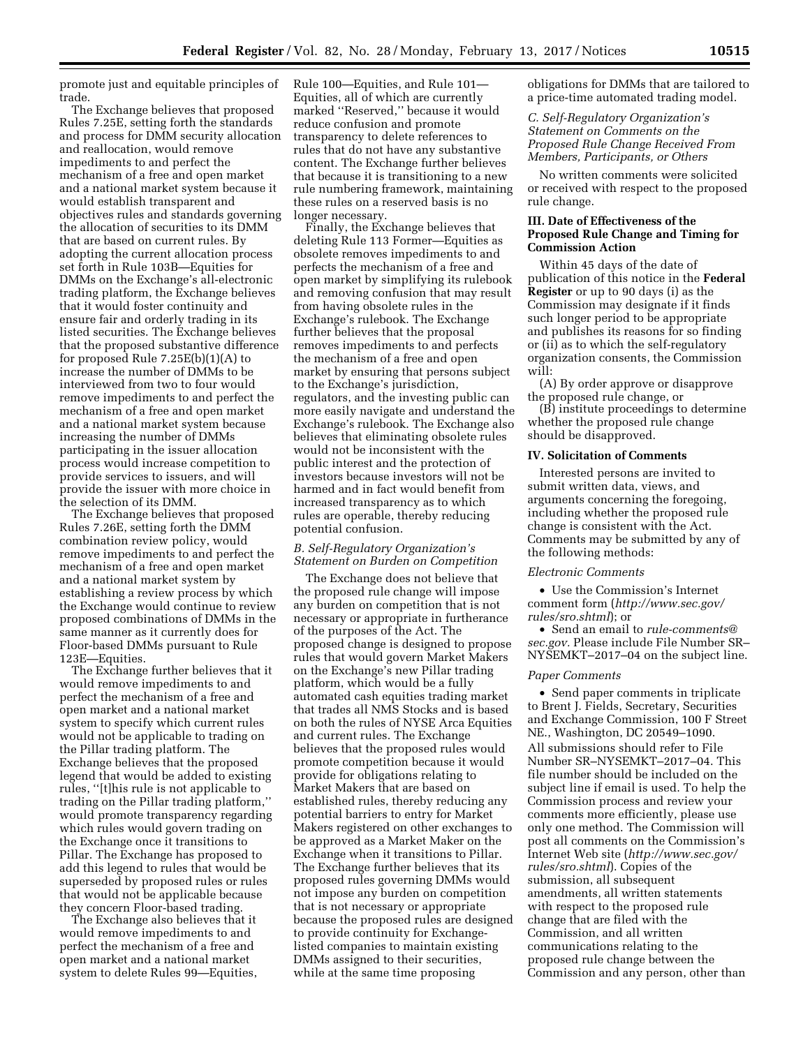promote just and equitable principles of trade.

The Exchange believes that proposed Rules 7.25E, setting forth the standards and process for DMM security allocation and reallocation, would remove impediments to and perfect the mechanism of a free and open market and a national market system because it would establish transparent and objectives rules and standards governing the allocation of securities to its DMM that are based on current rules. By adopting the current allocation process set forth in Rule 103B—Equities for DMMs on the Exchange's all-electronic trading platform, the Exchange believes that it would foster continuity and ensure fair and orderly trading in its listed securities. The Exchange believes that the proposed substantive difference for proposed Rule 7.25E(b)(1)(A) to increase the number of DMMs to be interviewed from two to four would remove impediments to and perfect the mechanism of a free and open market and a national market system because increasing the number of DMMs participating in the issuer allocation process would increase competition to provide services to issuers, and will provide the issuer with more choice in the selection of its DMM.

The Exchange believes that proposed Rules 7.26E, setting forth the DMM combination review policy, would remove impediments to and perfect the mechanism of a free and open market and a national market system by establishing a review process by which the Exchange would continue to review proposed combinations of DMMs in the same manner as it currently does for Floor-based DMMs pursuant to Rule 123E—Equities.

The Exchange further believes that it would remove impediments to and perfect the mechanism of a free and open market and a national market system to specify which current rules would not be applicable to trading on the Pillar trading platform. The Exchange believes that the proposed legend that would be added to existing rules, ''[t]his rule is not applicable to trading on the Pillar trading platform,'' would promote transparency regarding which rules would govern trading on the Exchange once it transitions to Pillar. The Exchange has proposed to add this legend to rules that would be superseded by proposed rules or rules that would not be applicable because they concern Floor-based trading.

The Exchange also believes that it would remove impediments to and perfect the mechanism of a free and open market and a national market system to delete Rules 99—Equities,

Rule 100—Equities, and Rule 101— Equities, all of which are currently marked ''Reserved,'' because it would reduce confusion and promote transparency to delete references to rules that do not have any substantive content. The Exchange further believes that because it is transitioning to a new rule numbering framework, maintaining these rules on a reserved basis is no longer necessary.

Finally, the Exchange believes that deleting Rule 113 Former—Equities as obsolete removes impediments to and perfects the mechanism of a free and open market by simplifying its rulebook and removing confusion that may result from having obsolete rules in the Exchange's rulebook. The Exchange further believes that the proposal removes impediments to and perfects the mechanism of a free and open market by ensuring that persons subject to the Exchange's jurisdiction, regulators, and the investing public can more easily navigate and understand the Exchange's rulebook. The Exchange also believes that eliminating obsolete rules would not be inconsistent with the public interest and the protection of investors because investors will not be harmed and in fact would benefit from increased transparency as to which rules are operable, thereby reducing potential confusion.

## *B. Self-Regulatory Organization's Statement on Burden on Competition*

The Exchange does not believe that the proposed rule change will impose any burden on competition that is not necessary or appropriate in furtherance of the purposes of the Act. The proposed change is designed to propose rules that would govern Market Makers on the Exchange's new Pillar trading platform, which would be a fully automated cash equities trading market that trades all NMS Stocks and is based on both the rules of NYSE Arca Equities and current rules. The Exchange believes that the proposed rules would promote competition because it would provide for obligations relating to Market Makers that are based on established rules, thereby reducing any potential barriers to entry for Market Makers registered on other exchanges to be approved as a Market Maker on the Exchange when it transitions to Pillar. The Exchange further believes that its proposed rules governing DMMs would not impose any burden on competition that is not necessary or appropriate because the proposed rules are designed to provide continuity for Exchangelisted companies to maintain existing DMMs assigned to their securities, while at the same time proposing

obligations for DMMs that are tailored to a price-time automated trading model.

*C. Self-Regulatory Organization's Statement on Comments on the Proposed Rule Change Received From Members, Participants, or Others* 

No written comments were solicited or received with respect to the proposed rule change.

## **III. Date of Effectiveness of the Proposed Rule Change and Timing for Commission Action**

Within 45 days of the date of publication of this notice in the **Federal Register** or up to 90 days (i) as the Commission may designate if it finds such longer period to be appropriate and publishes its reasons for so finding or (ii) as to which the self-regulatory organization consents, the Commission will:

(A) By order approve or disapprove the proposed rule change, or

(B) institute proceedings to determine whether the proposed rule change should be disapproved.

## **IV. Solicitation of Comments**

Interested persons are invited to submit written data, views, and arguments concerning the foregoing, including whether the proposed rule change is consistent with the Act. Comments may be submitted by any of the following methods:

#### *Electronic Comments*

• Use the Commission's Internet comment form (*[http://www.sec.gov/](http://www.sec.gov/rules/sro.shtml)  [rules/sro.shtml](http://www.sec.gov/rules/sro.shtml)*); or

• Send an email to *[rule-comments@](mailto:rule-comments@sec.gov) [sec.gov.](mailto:rule-comments@sec.gov)* Please include File Number SR– NYSEMKT–2017–04 on the subject line.

### *Paper Comments*

• Send paper comments in triplicate to Brent J. Fields, Secretary, Securities and Exchange Commission, 100 F Street NE., Washington, DC 20549–1090. All submissions should refer to File Number SR–NYSEMKT–2017–04. This file number should be included on the subject line if email is used. To help the Commission process and review your comments more efficiently, please use only one method. The Commission will post all comments on the Commission's Internet Web site (*[http://www.sec.gov/](http://www.sec.gov/rules/sro.shtml)  [rules/sro.shtml](http://www.sec.gov/rules/sro.shtml)*). Copies of the submission, all subsequent amendments, all written statements with respect to the proposed rule change that are filed with the Commission, and all written communications relating to the proposed rule change between the Commission and any person, other than